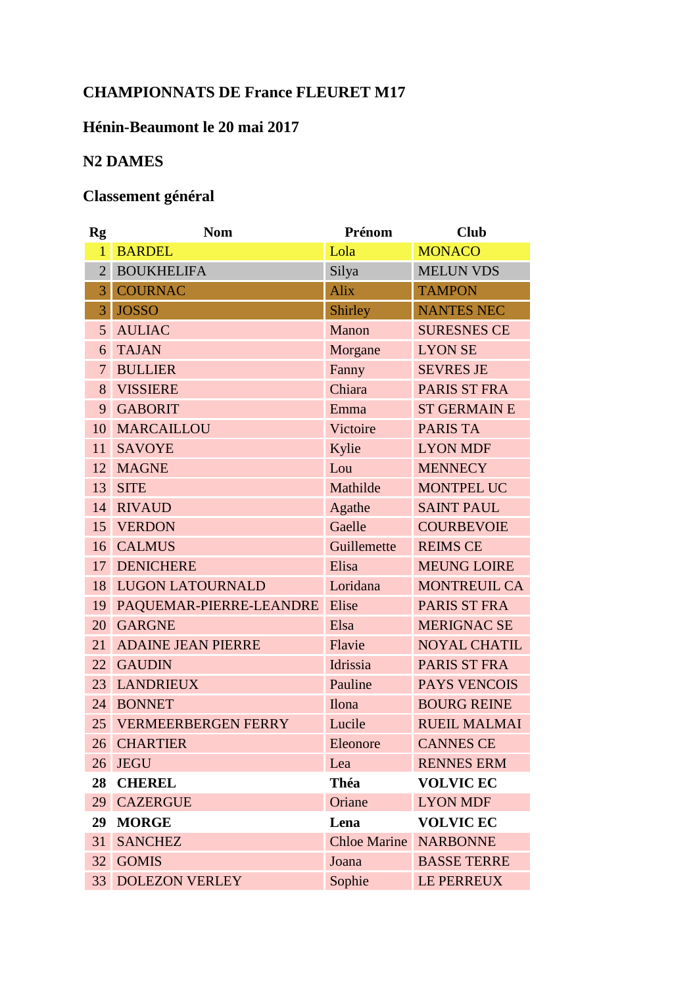## **CHAMPIONNATS DE France FLEURET M17**

## Hénin-Beaumont le 20 mai 2017

## **N2 DAMES**

## Classement général

| <b>Rg</b>      | <b>Nom</b>                 | Prénom              | <b>Club</b>         |
|----------------|----------------------------|---------------------|---------------------|
| $\overline{1}$ | <b>BARDEL</b>              | Lola                | <b>MONACO</b>       |
| $\overline{2}$ | <b>BOUKHELIFA</b>          | Silya               | <b>MELUN VDS</b>    |
| 3              | <b>COURNAC</b>             | Alix                | <b>TAMPON</b>       |
| 3              | <b>JOSSO</b>               | Shirley             | <b>NANTES NEC</b>   |
| 5              | <b>AULIAC</b>              | Manon               | <b>SURESNES CE</b>  |
| 6              | <b>TAJAN</b>               | Morgane             | <b>LYON SE</b>      |
| $\overline{7}$ | <b>BULLIER</b>             | Fanny               | <b>SEVRES JE</b>    |
| 8              | <b>VISSIERE</b>            | Chiara              | PARIS ST FRA        |
| 9              | <b>GABORIT</b>             | Emma                | <b>ST GERMAIN E</b> |
| 10             | MARCAILLOU                 | Victoire            | <b>PARIS TA</b>     |
| 11             | <b>SAVOYE</b>              | Kylie               | <b>LYON MDF</b>     |
| 12             | <b>MAGNE</b>               | Lou                 | <b>MENNECY</b>      |
| 13             | <b>SITE</b>                | Mathilde            | <b>MONTPEL UC</b>   |
| 14             | <b>RIVAUD</b>              | Agathe              | <b>SAINT PAUL</b>   |
| 15             | <b>VERDON</b>              | Gaelle              | <b>COURBEVOIE</b>   |
| 16             | <b>CALMUS</b>              | Guillemette         | <b>REIMS CE</b>     |
| 17             | <b>DENICHERE</b>           | Elisa               | <b>MEUNG LOIRE</b>  |
| 18             | <b>LUGON LATOURNALD</b>    | Loridana            | <b>MONTREUIL CA</b> |
| 19             | PAQUEMAR-PIERRE-LEANDRE    | Elise               | PARIS ST FRA        |
| 20             | <b>GARGNE</b>              | Elsa                | <b>MERIGNAC SE</b>  |
| 21             | <b>ADAINE JEAN PIERRE</b>  | Flavie              | <b>NOYAL CHATIL</b> |
| 22             | <b>GAUDIN</b>              | Idrissia            | PARIS ST FRA        |
| 23             | <b>LANDRIEUX</b>           | Pauline             | PAYS VENCOIS        |
| 24             | <b>BONNET</b>              | <b>Ilona</b>        | <b>BOURG REINE</b>  |
| 25             | <b>VERMEERBERGEN FERRY</b> | Lucile              | <b>RUEIL MALMAI</b> |
|                | 26 CHARTIER                | Eleonore            | <b>CANNES CE</b>    |
| 26             | <b>JEGU</b>                | Lea                 | <b>RENNES ERM</b>   |
| 28             | <b>CHEREL</b>              | Théa                | <b>VOLVIC EC</b>    |
| 29             | <b>CAZERGUE</b>            | Oriane              | <b>LYON MDF</b>     |
| 29             | <b>MORGE</b>               | Lena                | <b>VOLVIC EC</b>    |
| 31             | <b>SANCHEZ</b>             | <b>Chloe Marine</b> | <b>NARBONNE</b>     |
| 32             | <b>GOMIS</b>               | Joana               | <b>BASSE TERRE</b>  |
| 33             | <b>DOLEZON VERLEY</b>      | Sophie              | LE PERREUX          |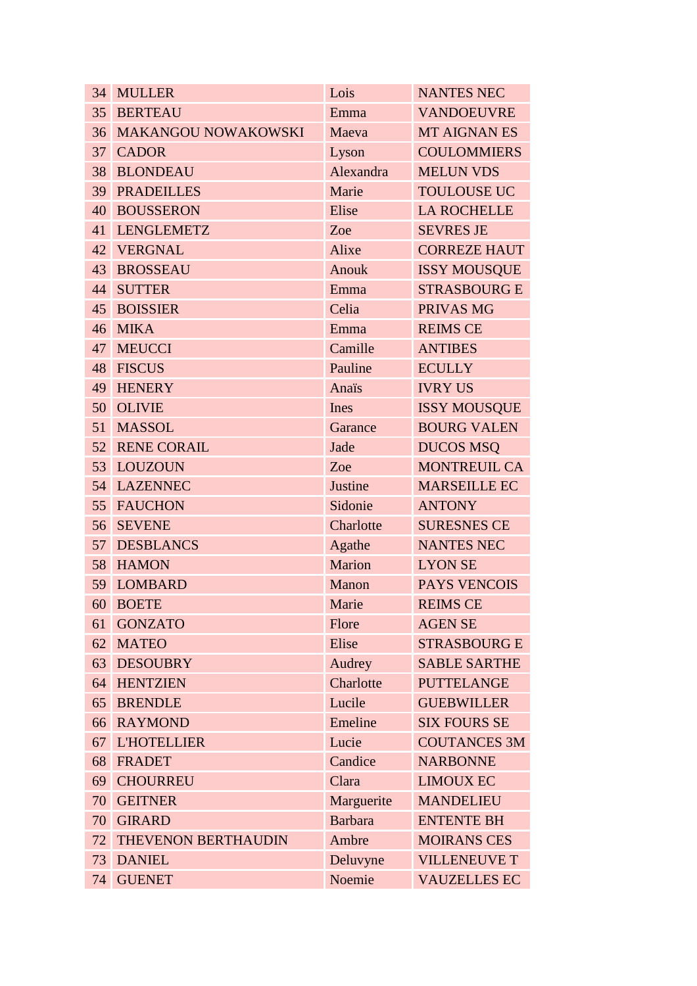| 34 | <b>MULLER</b>              | Lois           | <b>NANTES NEC</b>   |
|----|----------------------------|----------------|---------------------|
| 35 | <b>BERTEAU</b>             | Emma           | <b>VANDOEUVRE</b>   |
| 36 | <b>MAKANGOU NOWAKOWSKI</b> | Maeva          | <b>MT AIGNAN ES</b> |
| 37 | <b>CADOR</b>               | Lyson          | <b>COULOMMIERS</b>  |
| 38 | <b>BLONDEAU</b>            | Alexandra      | <b>MELUN VDS</b>    |
| 39 | <b>PRADEILLES</b>          | Marie          | <b>TOULOUSE UC</b>  |
| 40 | <b>BOUSSERON</b>           | Elise          | <b>LA ROCHELLE</b>  |
| 41 | <b>LENGLEMETZ</b>          | Zoe            | <b>SEVRES JE</b>    |
|    | 42 VERGNAL                 | Alixe          | <b>CORREZE HAUT</b> |
| 43 | <b>BROSSEAU</b>            | Anouk          | <b>ISSY MOUSQUE</b> |
| 44 | <b>SUTTER</b>              | Emma           | <b>STRASBOURG E</b> |
| 45 | <b>BOISSIER</b>            | Celia          | PRIVAS MG           |
| 46 | <b>MIKA</b>                | Emma           | <b>REIMS CE</b>     |
| 47 | <b>MEUCCI</b>              | Camille        | <b>ANTIBES</b>      |
| 48 | <b>FISCUS</b>              | Pauline        | <b>ECULLY</b>       |
| 49 | <b>HENERY</b>              | Anaïs          | <b>IVRY US</b>      |
| 50 | <b>OLIVIE</b>              | Ines           | <b>ISSY MOUSQUE</b> |
| 51 | <b>MASSOL</b>              | Garance        | <b>BOURG VALEN</b>  |
|    | <b>52 RENE CORAIL</b>      | Jade           | <b>DUCOS MSQ</b>    |
|    | 53 LOUZOUN                 | Zoe            | <b>MONTREUIL CA</b> |
| 54 | <b>LAZENNEC</b>            | Justine        | <b>MARSEILLE EC</b> |
| 55 | <b>FAUCHON</b>             | Sidonie        | <b>ANTONY</b>       |
| 56 | <b>SEVENE</b>              | Charlotte      | <b>SURESNES CE</b>  |
| 57 | <b>DESBLANCS</b>           | Agathe         | <b>NANTES NEC</b>   |
| 58 | <b>HAMON</b>               | Marion         | <b>LYON SE</b>      |
| 59 | <b>LOMBARD</b>             | Manon          | PAYS VENCOIS        |
|    | 60 BOETE                   | Marie          | <b>REIMS CE</b>     |
| 61 | <b>GONZATO</b>             | Flore          | <b>AGEN SE</b>      |
| 62 | <b>MATEO</b>               | Elise          | <b>STRASBOURG E</b> |
| 63 | <b>DESOUBRY</b>            | Audrey         | <b>SABLE SARTHE</b> |
| 64 | <b>HENTZIEN</b>            | Charlotte      | <b>PUTTELANGE</b>   |
| 65 | <b>BRENDLE</b>             | Lucile         | <b>GUEBWILLER</b>   |
| 66 | <b>RAYMOND</b>             | Emeline        | <b>SIX FOURS SE</b> |
| 67 | <b>L'HOTELLIER</b>         | Lucie          | <b>COUTANCES 3M</b> |
| 68 | <b>FRADET</b>              | Candice        | <b>NARBONNE</b>     |
| 69 | <b>CHOURREU</b>            | Clara          | <b>LIMOUX EC</b>    |
| 70 | <b>GEITNER</b>             | Marguerite     | <b>MANDELIEU</b>    |
| 70 | <b>GIRARD</b>              | <b>Barbara</b> | <b>ENTENTE BH</b>   |
| 72 | THEVENON BERTHAUDIN        | Ambre          | <b>MOIRANS CES</b>  |
| 73 | <b>DANIEL</b>              | Deluvyne       | <b>VILLENEUVE T</b> |
|    | 74 GUENET                  | Noemie         | <b>VAUZELLES EC</b> |